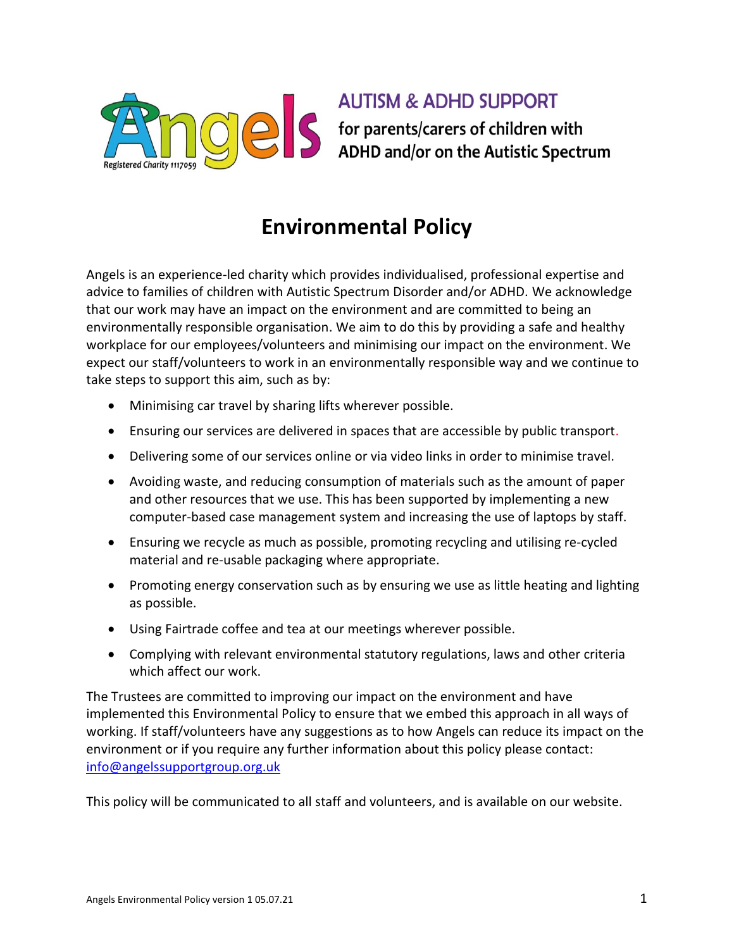

**AUTISM & ADHD SUPPORT** S for parents/carers of children with<br>ADHD and/or on the Autistic Spectrum

## **Environmental Policy**

Angels is an experience-led charity which provides individualised, professional expertise and advice to families of children with Autistic Spectrum Disorder and/or ADHD. We acknowledge that our work may have an impact on the environment and are committed to being an environmentally responsible organisation. We aim to do this by providing a safe and healthy workplace for our employees/volunteers and minimising our impact on the environment. We expect our staff/volunteers to work in an environmentally responsible way and we continue to take steps to support this aim, such as by:

- Minimising car travel by sharing lifts wherever possible.
- Ensuring our services are delivered in spaces that are accessible by public transport.
- Delivering some of our services online or via video links in order to minimise travel.
- Avoiding waste, and reducing consumption of materials such as the amount of paper and other resources that we use. This has been supported by implementing a new computer-based case management system and increasing the use of laptops by staff.
- Ensuring we recycle as much as possible, promoting recycling and utilising re-cycled material and re-usable packaging where appropriate.
- Promoting energy conservation such as by ensuring we use as little heating and lighting as possible.
- Using Fairtrade coffee and tea at our meetings wherever possible.
- Complying with relevant environmental statutory regulations, laws and other criteria which affect our work.

The Trustees are committed to improving our impact on the environment and have implemented this Environmental Policy to ensure that we embed this approach in all ways of working. If staff/volunteers have any suggestions as to how Angels can reduce its impact on the environment or if you require any further information about this policy please contact: [info@angelssupportgroup.org.uk](mailto:info@angelssupportgroup.org.uk)

This policy will be communicated to all staff and volunteers, and is available on our website.